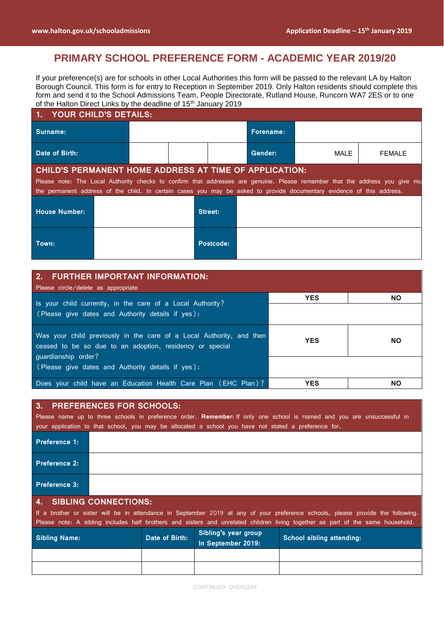## **PRIMARY SCHOOL PREFERENCE FORM - ACADEMIC YEAR 2019/20**

If your preference(s) are for schools in other Local Authorities this form will be passed to the relevant LA by Halton Borough Council. This form is for entry to Reception in September 2019. Only Halton residents should complete this form and send it to the School Admissions Team, People Directorate, Rutland House, Runcorn WA7 2ES or to one of the Halton Direct Links by the deadline of 15<sup>th</sup> January 2019

| 1. YOUR CHILD'S DETAILS:                                                                                                                                                                                                                                                                                        |  |  |  |           |           |      |               |
|-----------------------------------------------------------------------------------------------------------------------------------------------------------------------------------------------------------------------------------------------------------------------------------------------------------------|--|--|--|-----------|-----------|------|---------------|
| Surname:                                                                                                                                                                                                                                                                                                        |  |  |  |           | Forename: |      |               |
| Date of Birth:                                                                                                                                                                                                                                                                                                  |  |  |  |           | Gender:   | MALE | <b>FEMALE</b> |
| CHILD'S PERMANENT HOME ADDRESS AT TIME OF APPLICATION:<br>Please note: The Local Authority checks to confirm that addresses are genuine. Please remember that the address you give mu<br>the permanent address of the child. In certain cases you may be asked to provide documentary evidence of this address. |  |  |  |           |           |      |               |
| <b>House Number:</b>                                                                                                                                                                                                                                                                                            |  |  |  | Street:   |           |      |               |
| Town:                                                                                                                                                                                                                                                                                                           |  |  |  | Postcode: |           |      |               |

| 2. FURTHER IMPORTANT INFORMATION:                                                                                                |            |           |
|----------------------------------------------------------------------------------------------------------------------------------|------------|-----------|
| Please circle/delete as appropriate                                                                                              |            |           |
|                                                                                                                                  | <b>YES</b> | <b>NO</b> |
| Is your child currently, in the care of a Local Authority?<br>(Please give dates and Authority details if yes):                  |            |           |
| Was your child previously in the care of a Local Authority, and then<br>ceased to be so due to an adoption, residency or special | <b>YES</b> | <b>NO</b> |
| quardianship order?<br>(Please give dates and Authority details if yes):                                                         |            |           |
| Does your child have an Education Health Care Plan (EHC Plan)?                                                                   | <b>YES</b> | <b>NO</b> |

## **3. PREFERENCES FOR SCHOOLS:**

Please name up to three schools in preference order. **Remember:** If only one school is named and you are unsuccessful in your application to that school, you may be allocated a school you have not stated a preference for.

| Preference 1:        |  |
|----------------------|--|
| <b>Preference 2:</b> |  |
| Preference 3:        |  |

## **4. SIBLING CONNECTIONS:**

If a brother or sister will be in attendance in September 2019 at any of your preference schools, please provide the following. Please note: A sibling includes half brothers and sisters and unrelated children living together as part of the same household.

| <b>Sibling Name:</b> | Date of Birth: | Sibling's year group<br>In September 2019: | School sibling attending: |  |
|----------------------|----------------|--------------------------------------------|---------------------------|--|
|                      |                |                                            |                           |  |
|                      |                |                                            |                           |  |